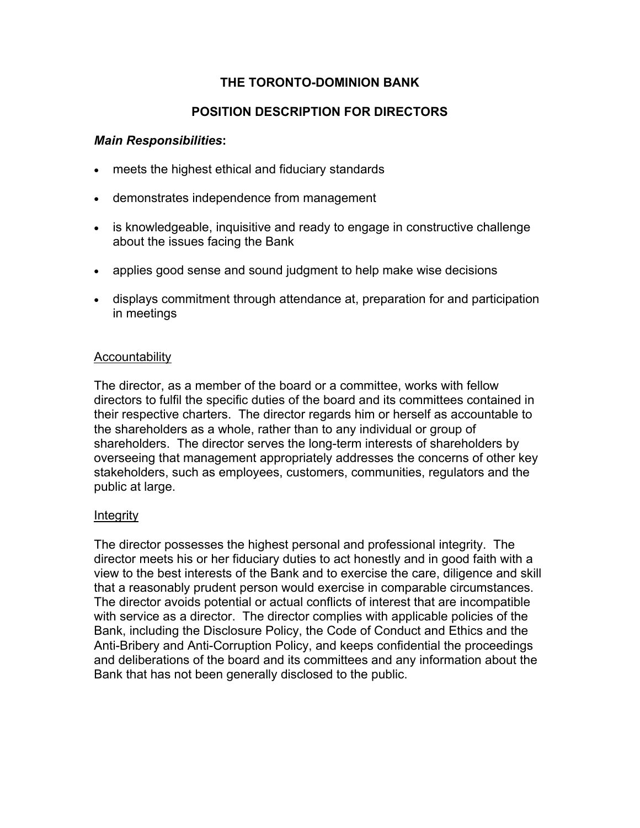## **THE TORONTO-DOMINION BANK**

# **POSITION DESCRIPTION FOR DIRECTORS**

## *Main Responsibilities***:**

- meets the highest ethical and fiduciary standards
- demonstrates independence from management
- is knowledgeable, inquisitive and ready to engage in constructive challenge about the issues facing the Bank
- applies good sense and sound judgment to help make wise decisions
- displays commitment through attendance at, preparation for and participation in meetings

## Accountability

The director, as a member of the board or a committee, works with fellow directors to fulfil the specific duties of the board and its committees contained in their respective charters. The director regards him or herself as accountable to the shareholders as a whole, rather than to any individual or group of shareholders. The director serves the long-term interests of shareholders by overseeing that management appropriately addresses the concerns of other key stakeholders, such as employees, customers, communities, regulators and the public at large.

## Integrity

The director possesses the highest personal and professional integrity. The director meets his or her fiduciary duties to act honestly and in good faith with a view to the best interests of the Bank and to exercise the care, diligence and skill that a reasonably prudent person would exercise in comparable circumstances. The director avoids potential or actual conflicts of interest that are incompatible with service as a director. The director complies with applicable policies of the Bank, including the Disclosure Policy, the Code of Conduct and Ethics and the Anti-Bribery and Anti-Corruption Policy, and keeps confidential the proceedings and deliberations of the board and its committees and any information about the Bank that has not been generally disclosed to the public.